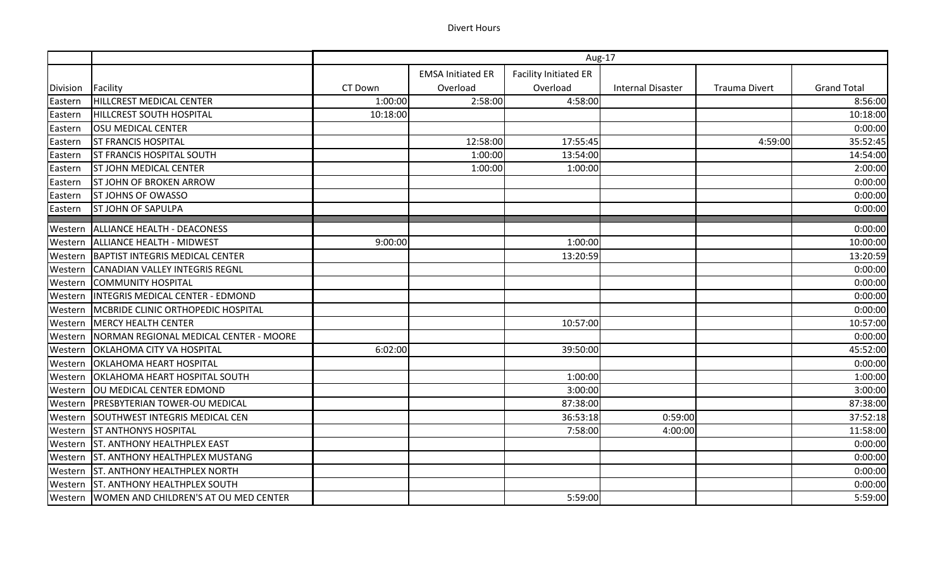|          |                                                 | Aug-17   |                          |                              |                          |                      |                    |
|----------|-------------------------------------------------|----------|--------------------------|------------------------------|--------------------------|----------------------|--------------------|
|          |                                                 |          | <b>EMSA Initiated ER</b> | <b>Facility Initiated ER</b> |                          |                      |                    |
| Division | Facility                                        | CT Down  | Overload                 | Overload                     | <b>Internal Disaster</b> | <b>Trauma Divert</b> | <b>Grand Total</b> |
| Eastern  | HILLCREST MEDICAL CENTER                        | 1:00:00  | 2:58:00                  | 4:58:00                      |                          |                      | 8:56:00            |
| Eastern  | <b>HILLCREST SOUTH HOSPITAL</b>                 | 10:18:00 |                          |                              |                          |                      | 10:18:00           |
| Eastern  | <b>OSU MEDICAL CENTER</b>                       |          |                          |                              |                          |                      | 0:00:00            |
| Eastern  | <b>ST FRANCIS HOSPITAL</b>                      |          | 12:58:00                 | 17:55:45                     |                          | 4:59:00              | 35:52:45           |
| Eastern  | <b>ST FRANCIS HOSPITAL SOUTH</b>                |          | 1:00:00                  | 13:54:00                     |                          |                      | 14:54:00           |
| Eastern  | <b>ST JOHN MEDICAL CENTER</b>                   |          | 1:00:00                  | 1:00:00                      |                          |                      | 2:00:00            |
| Eastern  | <b>ST JOHN OF BROKEN ARROW</b>                  |          |                          |                              |                          |                      | 0:00:00            |
| Eastern  | <b>ST JOHNS OF OWASSO</b>                       |          |                          |                              |                          |                      | 0:00:00            |
| Eastern  | <b>ST JOHN OF SAPULPA</b>                       |          |                          |                              |                          |                      | 0:00:00            |
| Western  | ALLIANCE HEALTH - DEACONESS                     |          |                          |                              |                          |                      | 0:00:00            |
|          | Western   ALLIANCE HEALTH - MIDWEST             | 9:00:00  |                          | 1:00:00                      |                          |                      | 10:00:00           |
| Western  | <b>BAPTIST INTEGRIS MEDICAL CENTER</b>          |          |                          | 13:20:59                     |                          |                      | 13:20:59           |
| Western  | CANADIAN VALLEY INTEGRIS REGNL                  |          |                          |                              |                          |                      | 0:00:00            |
| Western  | <b>COMMUNITY HOSPITAL</b>                       |          |                          |                              |                          |                      | 0:00:00            |
| Western  | INTEGRIS MEDICAL CENTER - EDMOND                |          |                          |                              |                          |                      | 0:00:00            |
|          | Western   MCBRIDE CLINIC ORTHOPEDIC HOSPITAL    |          |                          |                              |                          |                      | 0:00:00            |
| Western  | <b>MERCY HEALTH CENTER</b>                      |          |                          | 10:57:00                     |                          |                      | 10:57:00           |
| Western  | NORMAN REGIONAL MEDICAL CENTER - MOORE          |          |                          |                              |                          |                      | 0:00:00            |
| Western  | <b>OKLAHOMA CITY VA HOSPITAL</b>                | 6:02:00  |                          | 39:50:00                     |                          |                      | 45:52:00           |
| Western  | <b>OKLAHOMA HEART HOSPITAL</b>                  |          |                          |                              |                          |                      | 0:00:00            |
|          | Western   OKLAHOMA HEART HOSPITAL SOUTH         |          |                          | 1:00:00                      |                          |                      | 1:00:00            |
|          | Western   OU MEDICAL CENTER EDMOND              |          |                          | 3:00:00                      |                          |                      | 3:00:00            |
| Western  | <b>PRESBYTERIAN TOWER-OU MEDICAL</b>            |          |                          | 87:38:00                     |                          |                      | 87:38:00           |
| Western  | SOUTHWEST INTEGRIS MEDICAL CEN                  |          |                          | 36:53:18                     | 0:59:00                  |                      | 37:52:18           |
|          | <b>Western ST ANTHONYS HOSPITAL</b>             |          |                          | 7:58:00                      | 4:00:00                  |                      | 11:58:00           |
|          | <b>Western ST. ANTHONY HEALTHPLEX EAST</b>      |          |                          |                              |                          |                      | 0:00:00            |
|          | Western ST. ANTHONY HEALTHPLEX MUSTANG          |          |                          |                              |                          |                      | 0:00:00            |
|          | Western ST. ANTHONY HEALTHPLEX NORTH            |          |                          |                              |                          |                      | 0:00:00            |
|          | Western   ST. ANTHONY HEALTHPLEX SOUTH          |          |                          |                              |                          |                      | 0:00:00            |
|          | Western   WOMEN AND CHILDREN'S AT OU MED CENTER |          |                          | 5:59:00                      |                          |                      | 5:59:00            |